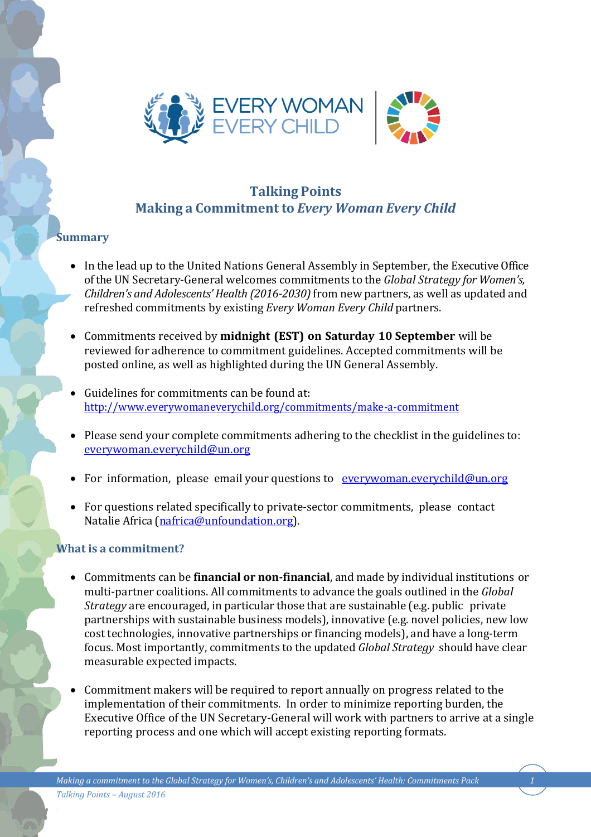

# **Talking Points Making a Commitment to** *Every Woman Every Child*

## **Summary**

- In the lead up to the United Nations General Assembly in September, the Executive Office of the UN Secretary-General welcomes commitments to the *Global Strategy for Women's, Children's and Adolescents' Health (2016-2030)* from new partners, as well as updated and refreshed commitments by existing *Every Woman Every Child* partners.
- Commitments received by **midnight (EST) on Saturday 10 September** will be reviewed for adherence to commitment guidelines. Accepted commitments will be posted online, as well as highlighted during the UN General Assembly.
- Guidelines for commitments can be found at: <http://www.everywomaneverychild.org/commitments/make-a-commitment>
- Please send your complete commitments adhering to the checklist in the guidelines to: [everywoman.everychild@un.org](mailto:everywoman.everychild@un.org)
- For information, please email your questions to [everywoman.everychild@un.org](mailto:everywoman.everychild@un.org)
- For questions related specifically to private-sector commitments, please contact Natalie Africa (nafrica@unfoundation.org).

#### **What is a commitment?**

- Commitments can be **financial or non-financial**, and made by individual institutions or multi-partner coalitions. All commitments to advance the goals outlined in the *Global Strategy* are encouraged, in particular those that are sustainable (e.g. public private partnerships with sustainable business models), innovative (e.g. novel policies, new low cost technologies, innovative partnerships or financing models), and have a long-term focus. Most importantly, commitments to the updated *Global Strategy* should have clear measurable expected impacts.
- Commitment makers will be required to report annually on progress related to the implementation of their commitments. In order to minimize reporting burden, the Executive Office of the UN Secretary-General will work with partners to arrive at a single reporting process and one which will accept existing reporting formats.

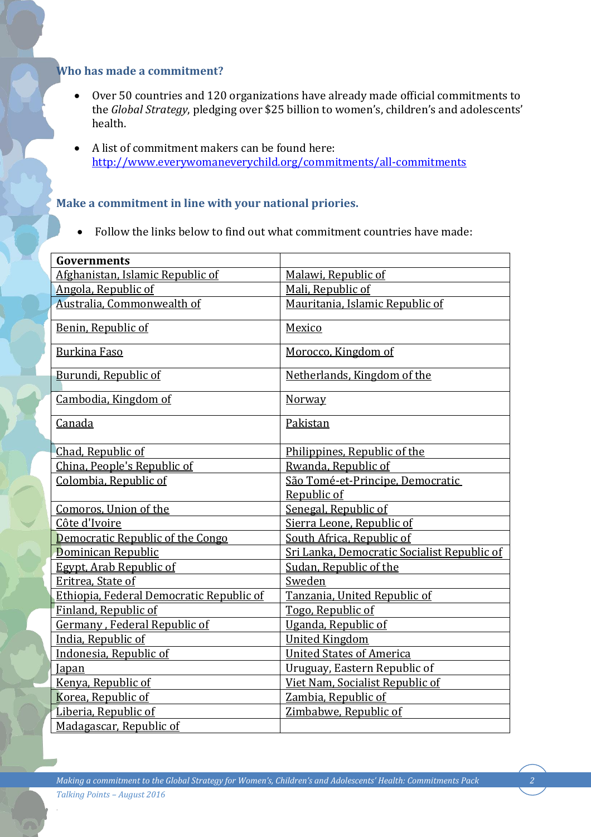#### **Who has made a commitment?**

- Over 50 countries and 120 organizations have already made official commitments to the *Global Strategy*, pledging over \$25 billion to women's, children's and adolescents' health.
- A list of commitment makers can be found here: <http://www.everywomaneverychild.org/commitments/all-commitments>

### **Make a commitment in line with your national priories.**

Follow the links below to find out what commitment countries have made:

| <b>Governments</b>                       |                                             |
|------------------------------------------|---------------------------------------------|
| Afghanistan, Islamic Republic of         | Malawi, Republic of                         |
| Angola, Republic of                      | Mali, Republic of                           |
| Australia, Commonwealth of               | Mauritania, Islamic Republic of             |
| Benin, Republic of                       | Mexico                                      |
|                                          |                                             |
| <b>Burkina Faso</b>                      | Morocco, Kingdom of                         |
| Burundi, Republic of                     | Netherlands, Kingdom of the                 |
|                                          |                                             |
| Cambodia, Kingdom of                     | Norway                                      |
| Canada                                   | Pakistan                                    |
|                                          |                                             |
| Chad, Republic of                        | Philippines, Republic of the                |
| China, People's Republic of              | Rwanda, Republic of                         |
| Colombia, Republic of                    | São Tomé-et-Principe, Democratic            |
|                                          | Republic of                                 |
| Comoros, Union of the                    | Senegal, Republic of                        |
| Côte d'Ivoire                            | Sierra Leone, Republic of                   |
| Democratic Republic of the Congo         | South Africa, Republic of                   |
| Dominican Republic                       | Sri Lanka, Democratic Socialist Republic of |
| <b>Egypt, Arab Republic of</b>           | Sudan, Republic of the                      |
| Eritrea, State of                        | Sweden                                      |
| Ethiopia, Federal Democratic Republic of | Tanzania, United Republic of                |
| Finland, Republic of                     | Togo, Republic of                           |
| Germany, Federal Republic of             | Uganda, Republic of                         |
| India, Republic of                       | <b>United Kingdom</b>                       |
| Indonesia, Republic of                   | <b>United States of America</b>             |
| <b>Japan</b>                             | Uruguay, Eastern Republic of                |
| Kenya, Republic of                       | Viet Nam, Socialist Republic of             |
| Korea, Republic of                       | Zambia, Republic of                         |
| Liberia, Republic of                     | Zimbabwe, Republic of                       |
| Madagascar, Republic of                  |                                             |